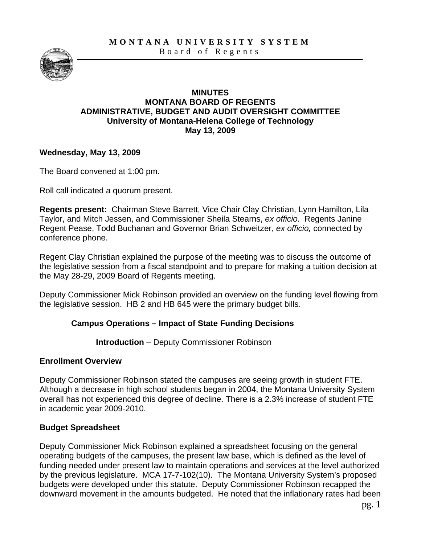**MONTANA UNIVERSITY SYSTEM** 



Board of Regents

#### **MINUTES MONTANA BOARD OF REGENTS ADMINISTRATIVE, BUDGET AND AUDIT OVERSIGHT COMMITTEE University of Montana-Helena College of Technology May 13, 2009**

#### **Wednesday, May 13, 2009**

The Board convened at 1:00 pm.

Roll call indicated a quorum present.

**Regents present:** Chairman Steve Barrett, Vice Chair Clay Christian, Lynn Hamilton, Lila Taylor, and Mitch Jessen, and Commissioner Sheila Stearns, *ex officio*. Regents Janine Regent Pease, Todd Buchanan and Governor Brian Schweitzer, *ex officio,* connected by conference phone.

Regent Clay Christian explained the purpose of the meeting was to discuss the outcome of the legislative session from a fiscal standpoint and to prepare for making a tuition decision at the May 28-29, 2009 Board of Regents meeting.

Deputy Commissioner Mick Robinson provided an overview on the funding level flowing from the legislative session. HB 2 and HB 645 were the primary budget bills.

## **Campus Operations – Impact of State Funding Decisions**

**Introduction** – Deputy Commissioner Robinson

## **Enrollment Overview**

Deputy Commissioner Robinson stated the campuses are seeing growth in student FTE. Although a decrease in high school students began in 2004, the Montana University System overall has not experienced this degree of decline. There is a 2.3% increase of student FTE in academic year 2009-2010.

## **Budget Spreadsheet**

Deputy Commissioner Mick Robinson explained a spreadsheet focusing on the general operating budgets of the campuses, the present law base, which is defined as the level of funding needed under present law to maintain operations and services at the level authorized by the previous legislature. MCA 17-7-102(10). The Montana University System's proposed budgets were developed under this statute. Deputy Commissioner Robinson recapped the downward movement in the amounts budgeted. He noted that the inflationary rates had been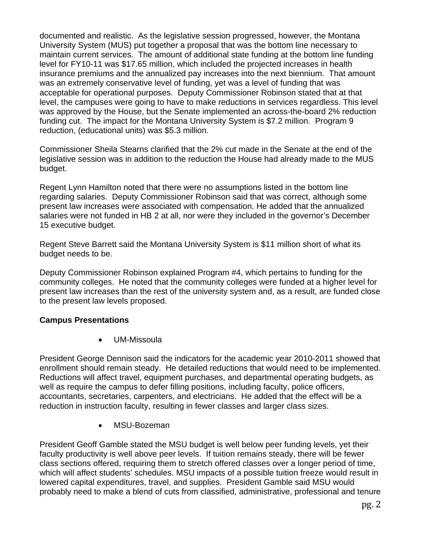documented and realistic. As the legislative session progressed, however, the Montana University System (MUS) put together a proposal that was the bottom line necessary to maintain current services. The amount of additional state funding at the bottom line funding level for FY10-11 was \$17.65 million, which included the projected increases in health insurance premiums and the annualized pay increases into the next biennium. That amount was an extremely conservative level of funding, yet was a level of funding that was acceptable for operational purposes. Deputy Commissioner Robinson stated that at that level, the campuses were going to have to make reductions in services regardless. This level was approved by the House, but the Senate implemented an across-the-board 2% reduction funding cut. The impact for the Montana University System is \$7.2 million. Program 9 reduction, (educational units) was \$5.3 million.

Commissioner Sheila Stearns clarified that the 2% cut made in the Senate at the end of the legislative session was in addition to the reduction the House had already made to the MUS budget.

Regent Lynn Hamilton noted that there were no assumptions listed in the bottom line regarding salaries. Deputy Commissioner Robinson said that was correct, although some present law increases were associated with compensation. He added that the annualized salaries were not funded in HB 2 at all, nor were they included in the governor's December 15 executive budget.

Regent Steve Barrett said the Montana University System is \$11 million short of what its budget needs to be.

Deputy Commissioner Robinson explained Program #4, which pertains to funding for the community colleges. He noted that the community colleges were funded at a higher level for present law increases than the rest of the university system and, as a result, are funded close to the present law levels proposed.

#### **Campus Presentations**

• UM-Missoula

President George Dennison said the indicators for the academic year 2010-2011 showed that enrollment should remain steady. He detailed reductions that would need to be implemented. Reductions will affect travel, equipment purchases, and departmental operating budgets, as well as require the campus to defer filling positions, including faculty, police officers, accountants, secretaries, carpenters, and electricians. He added that the effect will be a reduction in instruction faculty, resulting in fewer classes and larger class sizes.

• MSU-Bozeman

President Geoff Gamble stated the MSU budget is well below peer funding levels, yet their faculty productivity is well above peer levels. If tuition remains steady, there will be fewer class sections offered, requiring them to stretch offered classes over a longer period of time, which will affect students' schedules. MSU impacts of a possible tuition freeze would result in lowered capital expenditures, travel, and supplies. President Gamble said MSU would probably need to make a blend of cuts from classified, administrative, professional and tenure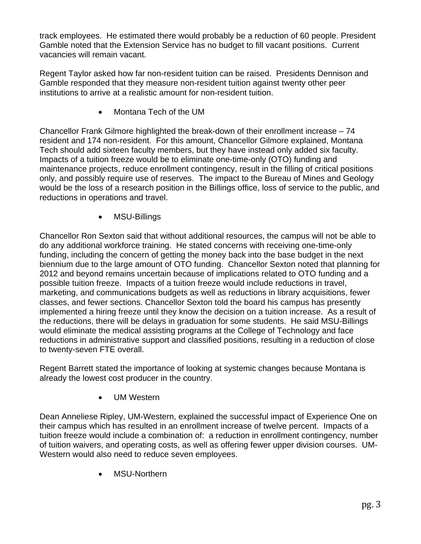track employees. He estimated there would probably be a reduction of 60 people. President Gamble noted that the Extension Service has no budget to fill vacant positions. Current vacancies will remain vacant.

Regent Taylor asked how far non-resident tuition can be raised. Presidents Dennison and Gamble responded that they measure non-resident tuition against twenty other peer institutions to arrive at a realistic amount for non-resident tuition.

• Montana Tech of the UM

Chancellor Frank Gilmore highlighted the break-down of their enrollment increase – 74 resident and 174 non-resident. For this amount, Chancellor Gilmore explained, Montana Tech should add sixteen faculty members, but they have instead only added six faculty. Impacts of a tuition freeze would be to eliminate one-time-only (OTO) funding and maintenance projects, reduce enrollment contingency, result in the filling of critical positions only, and possibly require use of reserves. The impact to the Bureau of Mines and Geology would be the loss of a research position in the Billings office, loss of service to the public, and reductions in operations and travel.

• MSU-Billings

Chancellor Ron Sexton said that without additional resources, the campus will not be able to do any additional workforce training. He stated concerns with receiving one-time-only funding, including the concern of getting the money back into the base budget in the next biennium due to the large amount of OTO funding. Chancellor Sexton noted that planning for 2012 and beyond remains uncertain because of implications related to OTO funding and a possible tuition freeze. Impacts of a tuition freeze would include reductions in travel, marketing, and communications budgets as well as reductions in library acquisitions, fewer classes, and fewer sections. Chancellor Sexton told the board his campus has presently implemented a hiring freeze until they know the decision on a tuition increase. As a result of the reductions, there will be delays in graduation for some students. He said MSU-Billings would eliminate the medical assisting programs at the College of Technology and face reductions in administrative support and classified positions, resulting in a reduction of close to twenty-seven FTE overall.

Regent Barrett stated the importance of looking at systemic changes because Montana is already the lowest cost producer in the country.

• UM Western

Dean Anneliese Ripley, UM-Western, explained the successful impact of Experience One on their campus which has resulted in an enrollment increase of twelve percent. Impacts of a tuition freeze would include a combination of: a reduction in enrollment contingency, number of tuition waivers, and operating costs, as well as offering fewer upper division courses. UM-Western would also need to reduce seven employees.

• MSU-Northern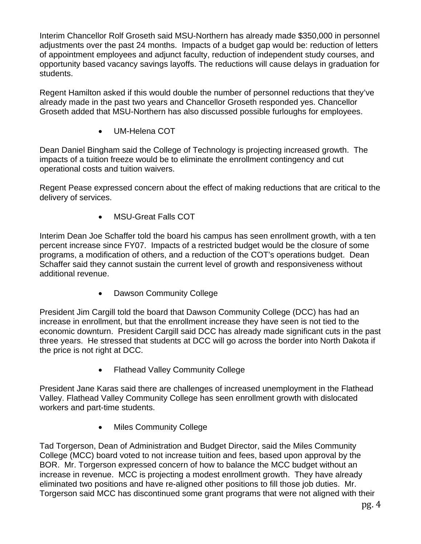Interim Chancellor Rolf Groseth said MSU-Northern has already made \$350,000 in personnel adjustments over the past 24 months. Impacts of a budget gap would be: reduction of letters of appointment employees and adjunct faculty, reduction of independent study courses, and opportunity based vacancy savings layoffs. The reductions will cause delays in graduation for students.

Regent Hamilton asked if this would double the number of personnel reductions that they've already made in the past two years and Chancellor Groseth responded yes. Chancellor Groseth added that MSU-Northern has also discussed possible furloughs for employees.

• UM-Helena COT

Dean Daniel Bingham said the College of Technology is projecting increased growth. The impacts of a tuition freeze would be to eliminate the enrollment contingency and cut operational costs and tuition waivers.

Regent Pease expressed concern about the effect of making reductions that are critical to the delivery of services.

• MSU-Great Falls COT

Interim Dean Joe Schaffer told the board his campus has seen enrollment growth, with a ten percent increase since FY07. Impacts of a restricted budget would be the closure of some programs, a modification of others, and a reduction of the COT's operations budget. Dean Schaffer said they cannot sustain the current level of growth and responsiveness without additional revenue.

• Dawson Community College

President Jim Cargill told the board that Dawson Community College (DCC) has had an increase in enrollment, but that the enrollment increase they have seen is not tied to the economic downturn. President Cargill said DCC has already made significant cuts in the past three years. He stressed that students at DCC will go across the border into North Dakota if the price is not right at DCC.

• Flathead Valley Community College

President Jane Karas said there are challenges of increased unemployment in the Flathead Valley. Flathead Valley Community College has seen enrollment growth with dislocated workers and part-time students.

• Miles Community College

Tad Torgerson, Dean of Administration and Budget Director, said the Miles Community College (MCC) board voted to not increase tuition and fees, based upon approval by the BOR. Mr. Torgerson expressed concern of how to balance the MCC budget without an increase in revenue. MCC is projecting a modest enrollment growth. They have already eliminated two positions and have re-aligned other positions to fill those job duties. Mr. Torgerson said MCC has discontinued some grant programs that were not aligned with their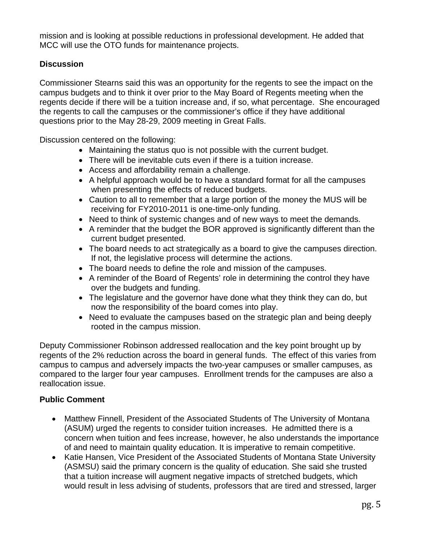mission and is looking at possible reductions in professional development. He added that MCC will use the OTO funds for maintenance projects.

# **Discussion**

Commissioner Stearns said this was an opportunity for the regents to see the impact on the campus budgets and to think it over prior to the May Board of Regents meeting when the regents decide if there will be a tuition increase and, if so, what percentage. She encouraged the regents to call the campuses or the commissioner's office if they have additional questions prior to the May 28-29, 2009 meeting in Great Falls.

Discussion centered on the following:

- Maintaining the status quo is not possible with the current budget.
- There will be inevitable cuts even if there is a tuition increase.
- Access and affordability remain a challenge.
- A helpful approach would be to have a standard format for all the campuses when presenting the effects of reduced budgets.
- Caution to all to remember that a large portion of the money the MUS will be receiving for FY2010-2011 is one-time-only funding.
- Need to think of systemic changes and of new ways to meet the demands.
- A reminder that the budget the BOR approved is significantly different than the current budget presented.
- The board needs to act strategically as a board to give the campuses direction. If not, the legislative process will determine the actions.
- The board needs to define the role and mission of the campuses.
- A reminder of the Board of Regents' role in determining the control they have over the budgets and funding.
- The legislature and the governor have done what they think they can do, but now the responsibility of the board comes into play.
- Need to evaluate the campuses based on the strategic plan and being deeply rooted in the campus mission.

Deputy Commissioner Robinson addressed reallocation and the key point brought up by regents of the 2% reduction across the board in general funds. The effect of this varies from campus to campus and adversely impacts the two-year campuses or smaller campuses, as compared to the larger four year campuses. Enrollment trends for the campuses are also a reallocation issue.

## **Public Comment**

- Matthew Finnell, President of the Associated Students of The University of Montana (ASUM) urged the regents to consider tuition increases. He admitted there is a concern when tuition and fees increase, however, he also understands the importance of and need to maintain quality education. It is imperative to remain competitive.
- Katie Hansen, Vice President of the Associated Students of Montana State University (ASMSU) said the primary concern is the quality of education. She said she trusted that a tuition increase will augment negative impacts of stretched budgets, which would result in less advising of students, professors that are tired and stressed, larger